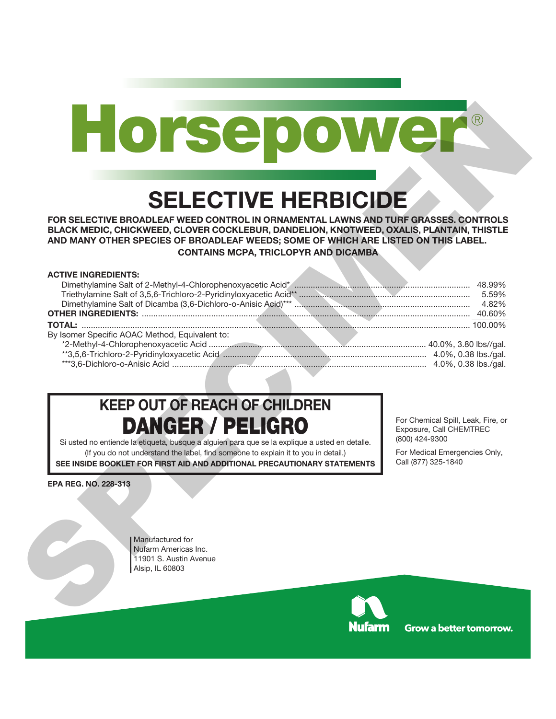# **SELECTIVE HERBICIDE**

#### **ACTIVE INGREDIENTS:**

|                             | <b>SELECTIVE HERBICIDE</b><br>FOR SELECTIVE BROADLEAF WEED CONTROL IN ORNAMENTAL LAWNS AND TURF GRASSES. CONTROLS<br>BLACK MEDIC, CHICKWEED, CLOVER COCKLEBUR, DANDELION, KNOTWEED, OXALIS, PLANTAIN, THISTLE<br>AND MANY OTHER SPECIES OF BROADLEAF WEEDS; SOME OF WHICH ARE LISTED ON THIS LABEL.<br><b>CONTAINS MCPA, TRICLOPYR AND DICAMBA</b> |                                                                        |
|-----------------------------|----------------------------------------------------------------------------------------------------------------------------------------------------------------------------------------------------------------------------------------------------------------------------------------------------------------------------------------------------|------------------------------------------------------------------------|
| <b>ACTIVE INGREDIENTS:</b>  |                                                                                                                                                                                                                                                                                                                                                    |                                                                        |
|                             | By Isomer Specific AOAC Method, Equivalent to:                                                                                                                                                                                                                                                                                                     |                                                                        |
|                             | <b>KEEP OUT OF REACH OF CHILDREN</b><br><b>DANGER / PELIGRO</b>                                                                                                                                                                                                                                                                                    | For Chemical Spill, Leak, Fire, or<br>Exposure, Call CHEMTREC          |
|                             | Si usted no entiende la etiqueta, busque a alguien para que se la explique a usted en detalle.<br>(If you do not understand the label, find someone to explain it to you in detail.)<br>SEE INSIDE BOOKLET FOR FIRST AID AND ADDITIONAL PRECAUTIONARY STATEMENTS                                                                                   | (800) 424-9300<br>For Medical Emergencies Only,<br>Call (877) 325-1840 |
| <b>EPA REG. NO. 228-313</b> |                                                                                                                                                                                                                                                                                                                                                    |                                                                        |

## **KEEP OUT OF REACH OF CHILDREN DANGER / PELIGRO**



**Grow a better tomorrow.**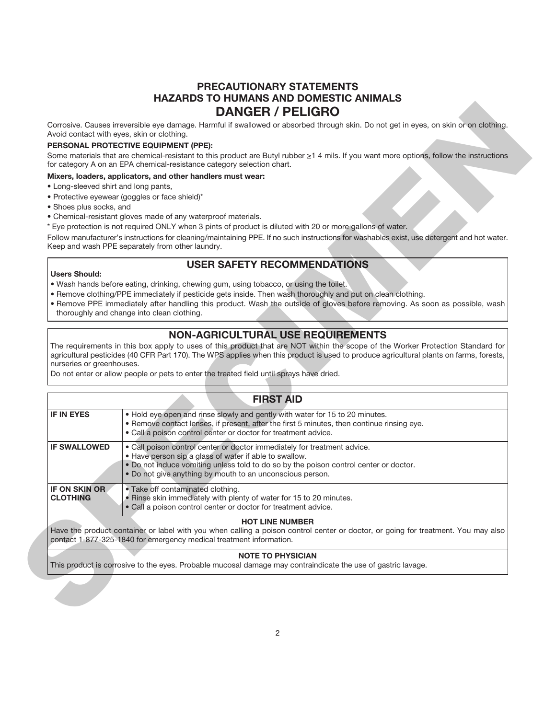### **PRECAUTIONARY STATEMENTS HAZARDS TO HUMANS AND DOMESTIC ANIMALS DANGER / PELIGRO**

#### **PERSONAL PROTECTIVE EQUIPMENT (PPE):**

#### **Mixers, loaders, applicators, and other handlers must wear:**

- Long-sleeved shirt and long pants,
- Protective eyewear (goggles or face shield)\*
- Shoes plus socks, and
- Chemical-resistant gloves made of any waterproof materials.
- \* Eye protection is not required ONLY when 3 pints of product is diluted with 20 or more gallons of water.

#### **USER SAFETY RECOMMENDATIONS**

#### **Users Should:**

- Wash hands before eating, drinking, chewing gum, using tobacco, or using the toilet.
- Remove clothing/PPE immediately if pesticide gets inside. Then wash thoroughly and put on clean clothing.
- Remove PPE immediately after handling this product. Wash the outside of gloves before removing. As soon as possible, wash thoroughly and change into clean clothing.

#### **NON-AGRICULTURAL USE REQUIREMENTS**

#### **FIRST AID**

| Avoid contact with eyes, skin or clothing. | Corrosive. Causes irreversible eye damage. Harmful if swallowed or absorbed through skin. Do not get in eyes, on skin or on clothing.<br>PERSONAL PROTECTIVE EQUIPMENT (PPE):<br>Some materials that are chemical-resistant to this product are Butyl rubber ≥1 4 mils. If you want more options, follow the instructions<br>for category A on an EPA chemical-resistance category selection chart. |
|--------------------------------------------|-----------------------------------------------------------------------------------------------------------------------------------------------------------------------------------------------------------------------------------------------------------------------------------------------------------------------------------------------------------------------------------------------------|
| • Long-sleeved shirt and long pants,       |                                                                                                                                                                                                                                                                                                                                                                                                     |
|                                            |                                                                                                                                                                                                                                                                                                                                                                                                     |
|                                            |                                                                                                                                                                                                                                                                                                                                                                                                     |
|                                            | Mixers, loaders, applicators, and other handlers must wear:                                                                                                                                                                                                                                                                                                                                         |
| • Shoes plus socks, and                    | · Protective eyewear (goggles or face shield)*                                                                                                                                                                                                                                                                                                                                                      |
|                                            | • Chemical-resistant gloves made of any waterproof materials.                                                                                                                                                                                                                                                                                                                                       |
|                                            | * Eye protection is not required ONLY when 3 pints of product is diluted with 20 or more gallons of water.<br>Follow manufacturer's instructions for cleaning/maintaining PPE. If no such instructions for washables exist, use detergent and hot water.<br>Keep and wash PPE separately from other laundry.                                                                                        |
|                                            | <b>USER SAFETY RECOMMENDATIONS</b>                                                                                                                                                                                                                                                                                                                                                                  |
| <b>Users Should:</b>                       |                                                                                                                                                                                                                                                                                                                                                                                                     |
|                                            | . Wash hands before eating, drinking, chewing gum, using tobacco, or using the toilet.                                                                                                                                                                                                                                                                                                              |
|                                            | . Remove clothing/PPE immediately if pesticide gets inside. Then wash thoroughly and put on clean clothing.<br>. Remove PPE immediately after handling this product. Wash the outside of gloves before removing. As soon as possible, wash                                                                                                                                                          |
|                                            | thoroughly and change into clean clothing.                                                                                                                                                                                                                                                                                                                                                          |
|                                            | <b>NON-AGRICULTURAL USE REQUIREMENTS</b>                                                                                                                                                                                                                                                                                                                                                            |
|                                            |                                                                                                                                                                                                                                                                                                                                                                                                     |
|                                            | Do not enter or allow people or pets to enter the treated field until sprays have dried.                                                                                                                                                                                                                                                                                                            |
| nurseries or greenhouses.                  | The requirements in this box apply to uses of this product that are NOT within the scope of the Worker Protection Standard for<br>agricultural pesticides (40 CFR Part 170). The WPS applies when this product is used to produce agricultural plants on farms, forests,<br><b>FIRST AID</b>                                                                                                        |
|                                            | . Hold eye open and rinse slowly and gently with water for 15 to 20 minutes.                                                                                                                                                                                                                                                                                                                        |
| <b>IF IN EYES</b>                          | . Remove contact lenses, if present, after the first 5 minutes, then continue rinsing eye.<br>. Call a poison control center or doctor for treatment advice.                                                                                                                                                                                                                                        |
| <b>IF SWALLOWED</b>                        | . Call poison control center or doctor immediately for treatment advice.                                                                                                                                                                                                                                                                                                                            |
|                                            | . Have person sip a glass of water if able to swallow.                                                                                                                                                                                                                                                                                                                                              |
|                                            | . Do not induce vomiting unless told to do so by the poison control center or doctor.<br>. Do not give anything by mouth to an unconscious person.                                                                                                                                                                                                                                                  |
| <b>IF ON SKIN OR</b>                       | • Take off contaminated clothing.                                                                                                                                                                                                                                                                                                                                                                   |
| <b>CLOTHING</b>                            | . Rinse skin immediately with plenty of water for 15 to 20 minutes.<br>· Call a poison control center or doctor for treatment advice.                                                                                                                                                                                                                                                               |
|                                            | <b>HOT LINE NUMBER</b>                                                                                                                                                                                                                                                                                                                                                                              |
|                                            | contact 1-877-325-1840 for emergency medical treatment information.                                                                                                                                                                                                                                                                                                                                 |
|                                            | Have the product container or label with you when calling a poison control center or doctor, or going for treatment. You may also<br><b>NOTE TO PHYSICIAN</b><br>This product is corrosive to the eyes. Probable mucosal damage may contraindicate the use of gastric lavage.                                                                                                                       |

#### **NOTE TO PHYSICIAN**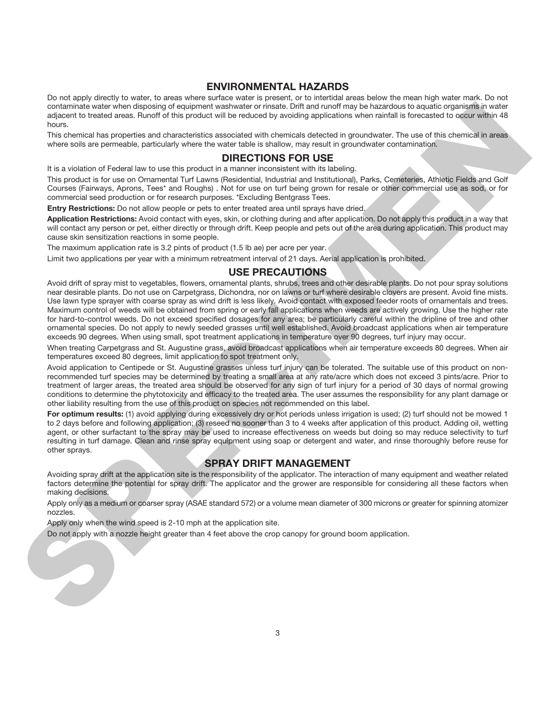#### **ENVIRONMENTAL HAZARDS**

Do not apply directly to water, to areas where surface water is present, or to intertidal areas below the mean high water mark. Do not contaminate water when disposing of equipment washwater or rinsate. Drift and runoff may be hazardous to aquatic organisms in water adjacent to treated areas. Runoff of this product will be reduced by avoiding applications when rainfall is forecasted to occur within 48 hours.

This chemical has properties and characteristics associated with chemicals detected in groundwater. The use of this chemical in areas where soils are permeable, particularly where the water table is shallow, may result in groundwater contamination.

#### **DIRECTIONS FOR USE**

It is a violation of Federal law to use this product in a manner inconsistent with its labeling.

This product is for use on Ornamental Turf Lawns (Residential, Industrial and Institutional), Parks, Cemeteries, Athletic Fields and Golf Courses (Fairways, Aprons, Tees\* and Roughs) . Not for use on turf being grown for resale or other commercial use as sod, or for commercial seed production or for research purposes. \*Excluding Bentgrass Tees.

**Entry Restrictions:** Do not allow people or pets to enter treated area until sprays have dried.

**Application Restrictions:** Avoid contact with eyes, skin, or clothing during and after application. Do not apply this product in a way that will contact any person or pet, either directly or through drift. Keep people and pets out of the area during application. This product may cause skin sensitization reactions in some people.

The maximum application rate is 3.2 pints of product (1.5 lb ae) per acre per year.

Limit two applications per year with a minimum retreatment interval of 21 days. Aerial application is prohibited.

#### **USE PRECAUTIONS**

Avoid drift of spray mist to vegetables, flowers, ornamental plants, shrubs, trees and other desirable plants. Do not pour spray solutions near desirable plants. Do not use on Carpetgrass, Dichondra, nor on lawns or turf where desirable clovers are present. Avoid fine mists. Use lawn type sprayer with coarse spray as wind drift is less likely. Avoid contact with exposed feeder roots of ornamentals and trees. Maximum control of weeds will be obtained from spring or early fall applications when weeds are actively growing. Use the higher rate for hard-to-control weeds. Do not exceed specified dosages for any area; be particularly careful within the dripline of tree and other ornamental species. Do not apply to newly seeded grasses until well established. Avoid broadcast applications when air temperature exceeds 90 degrees. When using small, spot treatment applications in temperature over 90 degrees, turf injury may occur. solution and which disposed at supernite variable at the same but and not one set a superior of the system of the system of the system of the system of the system of the system of the system of the system of the system of

When treating Carpetgrass and St. Augustine grass, avoid broadcast applications when air temperature exceeds 80 degrees. When air temperatures exceed 80 degrees, limit application to spot treatment only.

Avoid application to Centipede or St. Augustine grasses unless turf injury can be tolerated. The suitable use of this product on nonrecommended turf species may be determined by treating a small area at any rate/acre which does not exceed 3 pints/acre. Prior to treatment of larger areas, the treated area should be observed for any sign of turf injury for a period of 30 days of normal growing conditions to determine the phytotoxicity and efficacy to the treated area. The user assumes the responsibility for any plant damage or other liability resulting from the use of this product on species not recommended on this label.

For optimum results: (1) avoid applying during excessively dry or hot periods unless irrigation is used; (2) turf should not be mowed 1 to 2 days before and following application; (3) reseed no sooner than 3 to 4 weeks after application of this product. Adding oil, wetting agent, or other surfactant to the spray may be used to increase effectiveness on weeds but doing so may reduce selectivity to turf resulting in turf damage. Clean and rinse spray equipment using soap or detergent and water, and rinse thoroughly before reuse for other sprays.

#### **SPRAY DRIFT MANAGEMENT**

Avoiding spray drift at the application site is the responsibility of the applicator. The interaction of many equipment and weather related factors determine the potential for spray drift. The applicator and the grower are responsible for considering all these factors when making decisions.

Apply only as a medium or coarser spray (ASAE standard 572) or a volume mean diameter of 300 microns or greater for spinning atomizer nozzles.

Apply only when the wind speed is 2-10 mph at the application site.

Do not apply with a nozzle height greater than 4 feet above the crop canopy for ground boom application.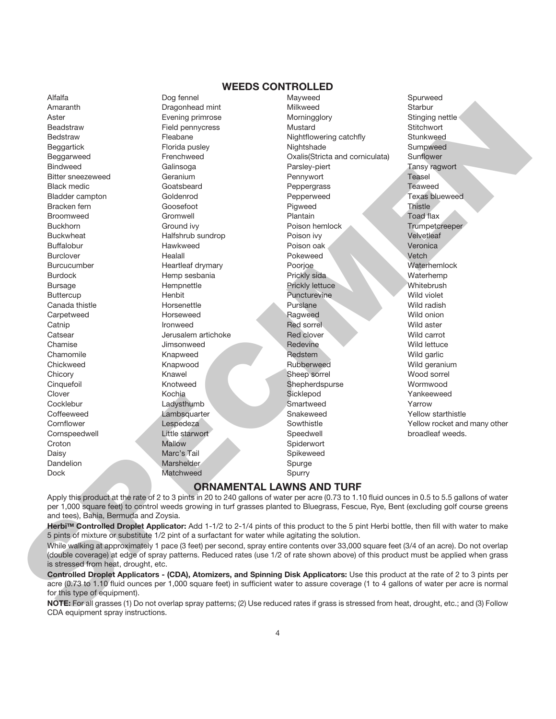#### **WEEDS CONTROLLED**

Dock Matchweed Spurry

Bedstraw Fleabane Fleabane Nightflowering catchfly Croton Mallow Spiderwort Daisy **Marc's Tail Spikeweed** Spikeweed Dandelion Marshelder Spurge

Alfalfa Dog fennel Mayweed Spurweed Amaranth Dragonhead mint Milkweed Starbur Aster **Exercise Evening primrose** Morningglory Stinging nettle in Evening primrose Beadstraw Field pennycress Mustard Stitchwort Beggartick **Florida pusley Community** Nightshade Sumpweed Beggarweed Frenchweed Oxalis(Stricta and corniculata) Sunflower Bindweed **Galinsoga** Galinsoga Parsley-piert **Parsley-metron** Tansy ragwort Bitter sneezeweed Geranium Geranium Bitter School and Teasel Black medic Goatsbeard Peppergrass Teaweed Bladder campton Goldenrod Pepperweed Texas blueweed Bracken fern **Goosefoot** Goosefoot Pigweed Thistle Broomweed Gromwell Gromwell Broomweare Plantain Toad flax Buckhorn Ground ivy **Buckhorn** Trumpetcreeper Buckwheat **Halfshrub sundrop** Poison ivy **Poison in the Velvetleaf** Buffalobur Hawkweed Poison oak Veronica Burclover **Healall** Healall Pokeweed Vetch Burcucumber Heartleaf drymary Poorjoe Waterhemlock Burdock **Hemp sesbania** Prickly sida Waterhemp Bursage **Example Hempnettle Community** Prickly lettuce Whitebrush Buttercup **Henbit** Henbit **Puncturevine** Wild violet Canada thistle **Example 20** Horsenettle **Purslane** Purslane Wild radish Carpetweed Wild onion Horseweed Ragweed Ragweed Wild onion Catnip **Ironweed Red sorrel Red sorrel Red Sorrel** Wild aster Catsear **Catsear** Jerusalem artichoke Red clover **Red clover** Wild carrot Chamise **Chamise** Jimsonweed Redevine Redevine Wild lettuce Chamomile **Knapweed Redstem Redstem Wild garlic** Chickweed **Knapwood Rubberweed Wild geranium** Chicory **Sheep sorrel Wood sorrel Sheep sorrel Wood sorrel** Cinquefoil Knotweed Shepherdspurse Wormwood Clover **Sicklepod Clover Sicklepod Sicklepod Sicklepod Yankeeweed** Cocklebur **Cocklebur** Ladysthumb Smartweed Yarrow Coffeeweed **Lambsquarter Coffeeweed** Yellow starthistle Cornspeedwell Little starwort Speedwell broadleaf weeds.

Cornflower Lespedeza Sowthistle Yellow rocket and many other Average the control of the second of the second of the second of the second of the second of the second of the second of the second of the second of the second of the second of the second of the second of the second of th

#### **ORNAMENTAL LAWNS AND TURF**

Apply this product at the rate of 2 to 3 pints in 20 to 240 gallons of water per acre (0.73 to 1.10 fluid ounces in 0.5 to 5.5 gallons of water per 1,000 square feet) to control weeds growing in turf grasses planted to Bluegrass, Fescue, Rye, Bent (excluding golf course greens and tees), Bahia, Bermuda and Zoysia.

**HerbiTM Controlled Droplet Applicator:** Add 1-1/2 to 2-1/4 pints of this product to the 5 pint Herbi bottle, then fill with water to make 5 pints of mixture or substitute 1/2 pint of a surfactant for water while agitating the solution.

While walking at approximately 1 pace (3 feet) per second, spray entire contents over 33,000 square feet (3/4 of an acre). Do not overlap (double coverage) at edge of spray patterns. Reduced rates (use 1/2 of rate shown above) of this product must be applied when grass is stressed from heat, drought, etc.

**Controlled Droplet Applicators - (CDA), Atomizers, and Spinning Disk Applicators:** Use this product at the rate of 2 to 3 pints per acre (0.73 to 1.10 fluid ounces per 1,000 square feet) in sufficient water to assure coverage (1 to 4 gallons of water per acre is normal for this type of equipment).

**NOTE:** For all grasses (1) Do not overlap spray patterns; (2) Use reduced rates if grass is stressed from heat, drought, etc.; and (3) Follow CDA equipment spray instructions.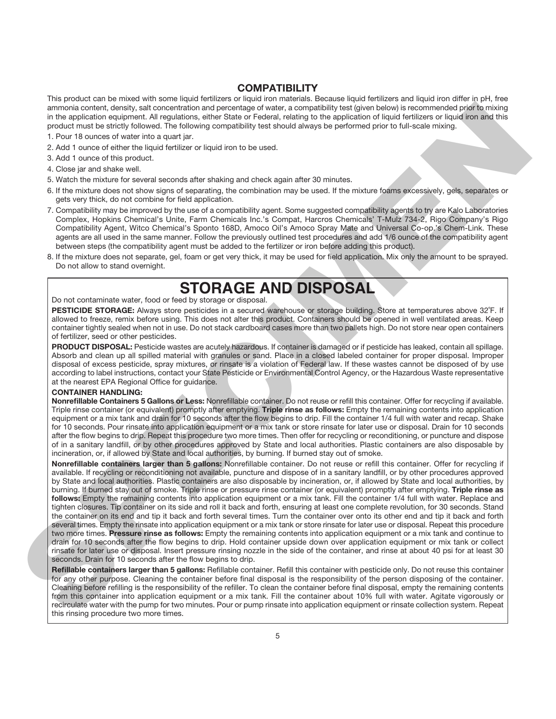#### **COMPATIBILITY**

This product can be mixed with some liquid fertilizers or liquid iron materials. Because liquid fertilizers and liquid iron differ in pH, free ammonia content, density, salt concentration and percentage of water, a compatibility test (given below) is recommended prior to mixing in the application equipment. All regulations, either State or Federal, relating to the application of liquid fertilizers or liquid iron and this product must be strictly followed. The following compatibility test should always be performed prior to full-scale mixing.

- 1. Pour 18 ounces of water into a quart jar.
- 2. Add 1 ounce of either the liquid fertilizer or liquid iron to be used.
- 3. Add 1 ounce of this product.
- 4. Close jar and shake well.
- 5. Watch the mixture for several seconds after shaking and check again after 30 minutes.
- 6. If the mixture does not show signs of separating, the combination may be used. If the mixture foams excessively, gels, separates or gets very thick, do not combine for field application.
- 7. Compatibility may be improved by the use of a compatibility agent. Some suggested compatibility agents to try are Kalo Laboratories Complex, Hopkins Chemical's Unite, Farm Chemicals Inc.'s Compat, Harcros Chemicals' T-Mulz 734-2, Rigo Company's Rigo Compatibility Agent, Witco Chemical's Sponto 168D, Amoco Oil's Amoco Spray Mate and Universal Co-op.'s Chem-Link. These agents are all used in the same manner. Follow the previously outlined test procedures and add 1/6 ounce of the compatibility agent between steps (the compatibility agent must be added to the fertilizer or iron before adding this product).
- 8. If the mixture does not separate, gel, foam or get very thick, it may be used for field application. Mix only the amount to be sprayed. Do not allow to stand overnight.

### **STORAGE AND DISPOSAL**

#### Do not contaminate water, food or feed by storage or disposal.

**PESTICIDE STORAGE:** Always store pesticides in a secured warehouse or storage building. Store at temperatures above 32˚F. If allowed to freeze, remix before using. This does not alter this product. Containers should be opened in well ventilated areas. Keep container tightly sealed when not in use. Do not stack cardboard cases more than two pallets high. Do not store near open containers of fertilizer, seed or other pesticides.

**PRODUCT DISPOSAL:** Pesticide wastes are acutely hazardous. If container is damaged or if pesticide has leaked, contain all spillage. Absorb and clean up all spilled material with granules or sand. Place in a closed labeled container for proper disposal. Improper disposal of excess pesticide, spray mixtures, or rinsate is a violation of Federal law. If these wastes cannot be disposed of by use according to label instructions, contact your State Pesticide or Environmental Control Agency, or the Hazardous Waste representative at the nearest EPA Regional Office for guidance.

#### **CONTAINER HANDLING:**

**Nonrefillable Containers 5 Gallons or Less:** Nonrefillable container. Do not reuse or refill this container. Offer for recycling if available. Triple rinse container (or equivalent) promptly after emptying. **Triple rinse as follows:** Empty the remaining contents into application equipment or a mix tank and drain for 10 seconds after the flow begins to drip. Fill the container 1/4 full with water and recap. Shake for 10 seconds. Pour rinsate into application equipment or a mix tank or store rinsate for later use or disposal. Drain for 10 seconds after the flow begins to drip. Repeat this procedure two more times. Then offer for recycling or reconditioning, or puncture and dispose of in a sanitary landfill, or by other procedures approved by State and local authorities. Plastic containers are also disposable by incineration, or, if allowed by State and local authorities, by burning. If burned stay out of smoke.

**Nonrefillable containers larger than 5 gallons:** Nonrefillable container. Do not reuse or refill this container. Offer for recycling if available. If recycling or reconditioning not available, puncture and dispose of in a sanitary landfill, or by other procedures approved by State and local authorities. Plastic containers are also disposable by incineration, or, if allowed by State and local authorities, by burning. If burned stay out of smoke. Triple rinse or pressure rinse container (or equivalent) promptly after emptying. **Triple rinse as follows:** Empty the remaining contents into application equipment or a mix tank. Fill the container 1/4 full with water. Replace and tighten closures. Tip container on its side and roll it back and forth, ensuring at least one complete revolution, for 30 seconds. Stand the container on its end and tip it back and forth several times. Turn the container over onto its other end and tip it back and forth several times. Empty the rinsate into application equipment or a mix tank or store rinsate for later use or disposal. Repeat this procedure two more times. **Pressure rinse as follows:** Empty the remaining contents into application equipment or a mix tank and continue to drain for 10 seconds after the flow begins to drip. Hold container upside down over application equipment or mix tank or collect rinsate for later use or disposal. Insert pressure rinsing nozzle in the side of the container, and rinse at about 40 psi for at least 30 seconds. Drain for 10 seconds after the flow begins to drip. armore consider the constraints of properties of other a compatibly said you are a more constraint to the constraint of the constraint of the constraint of the constraint of the constraint of the constraint of the constra

**Refillable containers larger than 5 gallons:** Refillable container. Refill this container with pesticide only. Do not reuse this container for any other purpose. Cleaning the container before final disposal is the responsibility of the person disposing of the container. Cleaning before refilling is the responsibility of the refiller. To clean the container before final disposal, empty the remaining contents from this container into application equipment or a mix tank. Fill the container about 10% full with water. Agitate vigorously or recirculate water with the pump for two minutes. Pour or pump rinsate into application equipment or rinsate collection system. Repeat this rinsing procedure two more times.